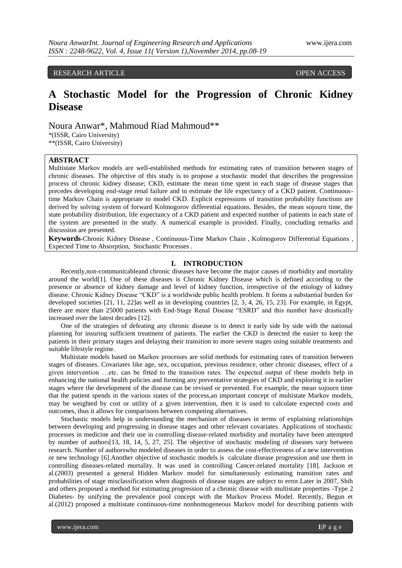RESEARCH ARTICLE OPEN ACCESS

# **A Stochastic Model for the Progression of Chronic Kidney Disease**

Noura Anwar\*, Mahmoud Riad Mahmoud\*\* \*(ISSR, Cairo University)

\*\*(ISSR, Cairo University)

## **ABSTRACT**

Multistate Markov models are well-established methods for estimating rates of transition between stages of chronic diseases. The objective of this study is to propose a stochastic model that describes the progression process of chronic kidney disease; CKD, estimate the mean time spent in each stage of disease stages that precedes developing end-stage renal failure and to estimate the life expectancy of a CKD patient. Continuoustime Markov Chain is appropriate to model CKD. Explicit expressions of transition probability functions are derived by solving system of forward Kolmogorov differential equations. Besides, the mean sojourn time, the state probability distribution, life expectancy of a CKD patient and expected number of patients in each state of the system are presented in the study. A numerical example is provided. Finally, concluding remarks and discussion are presented.

**Keywords**-Chronic Kidney Disease , Continuous-Time Markov Chain , Kolmogorov Differential Equations , Expected Time to Absorption, Stochastic Processes .

## **I. INTRODUCTION**

Recently,non-communicableand chronic diseases have become the major causes of morbidity and mortality around the world[1]. One of these diseases is Chronic Kidney Disease which is defined according to the presence or absence of kidney damage and level of kidney function, irrespective of the etiology of kidney disease. Chronic Kidney Disease "CKD" is a worldwide public health problem. It forms a substantial burden for developed societies [21, 11, 22]as well as in developing countries [2, 3, 4, 26, 15, 23]. For example, in Egypt, there are more than 25000 patients with End-Stage Renal Disease "ESRD" and this number have drastically increased over the latest decades [12].

One of the strategies of defeating any chronic disease is to detect it early side by side with the national planning for insuring sufficient treatment of patients. The earlier the CKD is detected the easier to keep the patients in their primary stages and delaying their transition to more severe stages using suitable treatments and suitable lifestyle regime.

Multistate models based on Markov processes are solid methods for estimating rates of transition between stages of diseases. Covariates like age, sex, occupation, previous residence, other chronic diseases, effect of a given intervention …etc. can be fitted to the transition rates. The expected output of these models help in enhancing the national health policies and forming any preventative strategies of CKD and exploring it in earlier stages where the development of the disease can be revised or prevented. For example, the mean sojourn time that the patient spends in the various states of the process,an important concept of multistate Markov models, may be weighted by cost or utility of a given intervention, then it is used to calculate expected costs and outcomes, thus it allows for comparisons between competing alternatives.

Stochastic models help in understanding the mechanism of diseases in terms of explaining relationships between developing and progressing in disease stages and other relevant covariates. Applications of stochastic processes in medicine and their use in controlling disease-related morbidity and mortality have been attempted by number of authors[13, 18, 14, 5, 27, 25]. The objective of stochastic modeling of diseases vary between research. Number of authorswho modeled diseases in order to assess the cost-effectiveness of a new intervention or new technology [6].Another objective of stochastic models is calculate disease progression and use them in controlling diseases-related mortality. It was used in controlling Cancer-related mortality [18]. Jackson et al.(2003) presented a general Hidden Markov model for simultaneously estimating transition rates and probabilities of stage misclassification when diagnosis of disease stages are subject to error.Later in 2007, Shih and others proposed a method for estimating progression of a chronic disease with multistate properties -Type 2 Diabetes- by unifying the prevalence pool concept with the Markov Process Model. Recently, Begun et al.(2012) proposed a multistate continuous-time nonhomogeneous Markov model for describing patients with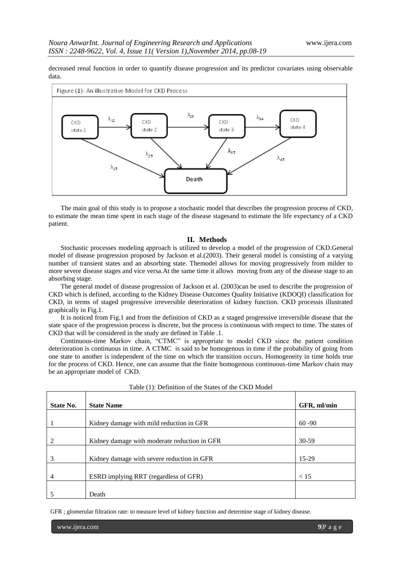decreased renal function in order to quantify disease progression and its predictor covariates using observable data.



The main goal of this study is to propose a stochastic model that describes the progression process of CKD, to estimate the mean time spent in each stage of the disease stagesand to estimate the life expectancy of a CKD patient.

## **II. Methods**

Stochastic processes modeling approach is utilized to develop a model of the progression of CKD.General model of disease progression proposed by Jackson et al.(2003). Their general model is consisting of a varying number of transient states and an absorbing state. Themodel allows for moving progressively from milder to more severe disease stages and vice versa.At the same time it allows moving from any of the disease stage to an absorbing stage.

The general model of disease progression of Jackson et al. (2003)can be used to describe the progression of CKD which is defined, according to the Kidney Disease Outcomes Quality Initiative (KDOQI) classification for CKD, in terms of staged progressive irreversible deterioration of kidney function. CKD processis illustrated graphically in Fig.1.

It is noticed from Fig.1 and from the definition of CKD as a staged progressive irreversible disease that the state space of the progression process is discrete, but the process is continuous with respect to time. The states of CKD that will be considered in the study are defined in Table .1.

Continuous-time Markov chain, "CTMC" is appropriate to model CKD since the patient condition deterioration is continuous in time. A CTMC is said to be homogenous in time if the probability of going from one state to another is independent of the time on which the transition occurs. Homogeneity in time holds true for the process of CKD. Hence, one can assume that the finite homogenous continuous-time Markov chain may be an appropriate model of CKD.

| <b>State No.</b> | <b>State Name</b>                            | GFR, ml/min |
|------------------|----------------------------------------------|-------------|
|                  |                                              |             |
|                  | Kidney damage with mild reduction in GFR     | $60 - 90$   |
| 2                | Kidney damage with moderate reduction in GFR | $30-59$     |
|                  | Kidney damage with severe reduction in GFR   | 15-29       |
| 4                | ESRD implying RRT (regardless of GFR)        | < 15        |
|                  | Death                                        |             |

| Table (1): Definition of the States of the CKD Model |  |  |  |
|------------------------------------------------------|--|--|--|
|------------------------------------------------------|--|--|--|

GFR ; glomerular filtration rate: to measure level of kidney function and determine stage of kidney disease.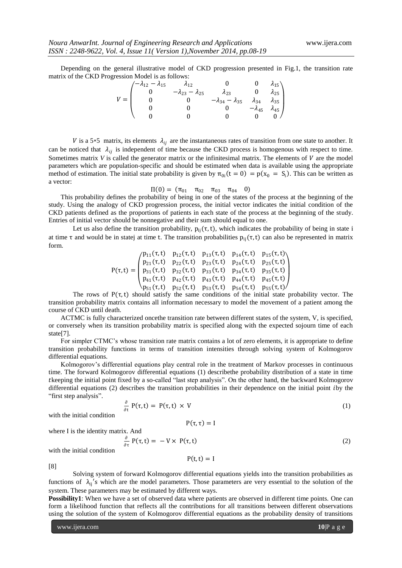Depending on the general illustrative model of CKD progression presented in Fig.1, the transition rate matrix of the CKD Progression Model is as follows:

|       | $\sqrt{-\lambda_{12} - \lambda_{15}}$ | $\lambda_{12}$                 |                                |                                                                                                                                          |  |
|-------|---------------------------------------|--------------------------------|--------------------------------|------------------------------------------------------------------------------------------------------------------------------------------|--|
|       |                                       | $-\lambda_{23} - \lambda_{25}$ | $\lambda_{23}$                 |                                                                                                                                          |  |
| $V =$ |                                       |                                | $-\lambda_{34} - \lambda_{35}$ | $\begin{pmatrix} 0 & \lambda_{15} \ 0 & \lambda_{25} \ \lambda_{34} & \lambda_{35} \ -\lambda_{45} & \lambda_{45} \ 0 & 0 \end{pmatrix}$ |  |
|       |                                       |                                |                                |                                                                                                                                          |  |
|       |                                       |                                |                                |                                                                                                                                          |  |

V is a 5×5 matrix, its elements  $\lambda_{ij}$  are the instantaneous rates of transition from one state to another. It can be noticed that  $\lambda_{ij}$  is independent of time because the CKD process is homogenous with respect to time. Sometimes matrix  $V$  is called the generator matrix or the infinitesimal matrix. The elements of  $V$  are the model parameters which are population-specific and should be estimated when data is available using the appropriate method of estimation. The initial state probability is given by  $\pi_{0i}(t = 0) = p(x_0 = S_i)$ . This can be written as a vector:

 $\Pi(0) = (\pi_{01} \quad \pi_{02} \quad \pi_{03} \quad \pi_{04} \quad 0)$ 

This probability defines the probability of being in one of the states of the process at the beginning of the study. Using the analogy of CKD progression process, the initial vector indicates the initial condition of the CKD patients defined as the proportions of patients in each state of the process at the beginning of the study. Entries of initial vector should be nonnegative and their sum should equal to one.

Let us also define the transition probability,  $p_{ii}(\tau, t)$ , which indicates the probability of being in state i at time τ and would be in statej at time t. The transition probabilities  $p_{ij}(\tau, t)$  can also be represented in matrix form.

$$
P(\tau,t) = \begin{pmatrix} p_{11}(\tau,t) & p_{12}(\tau,t) & p_{13}(\tau,t) & p_{14}(\tau,t) & p_{15}(\tau,t) \\ p_{21}(\tau,t) & p_{22}(\tau,t) & p_{23}(\tau,t) & p_{24}(\tau,t) & p_{25}(\tau,t) \\ p_{31}(\tau,t) & p_{32}(\tau,t) & p_{33}(\tau,t) & p_{34}(\tau,t) & p_{35}(\tau,t) \\ p_{41}(\tau,t) & p_{42}(\tau,t) & p_{43}(\tau,t) & p_{44}(\tau,t) & p_{45}(\tau,t) \\ p_{51}(\tau,t) & p_{52}(\tau,t) & p_{53}(\tau,t) & p_{54}(\tau,t) & p_{55}(\tau,t) \end{pmatrix}
$$

The rows of  $P(\tau, t)$  should satisfy the same conditions of the initial state probability vector. The transition probability matrix contains all information necessary to model the movement of a patient among the course of CKD until death.

ACTMC is fully characterized oncethe transition rate between different states of the system, V, is specified, or conversely when its transition probability matrix is specified along with the expected sojourn time of each state[7].

For simpler CTMC's whose transition rate matrix contains a lot of zero elements, it is appropriate to define transition probability functions in terms of transition intensities through solving system of Kolmogorov differential equations.

Kolmogorov's differential equations play central role in the treatment of Markov processes in continuous time. The forward Kolmogorov differential equations (1) describethe probability distribution of a state in time keeping the initial point fixed by a so-called "last step analysis". On the other hand, the backward Kolmogorov differential equations (2) describes the transition probabilities in their dependence on the initial point *iby* the "first step analysis".

$$
\frac{\partial}{\partial t} P(\tau, t) = P(\tau, t) \times V \tag{1}
$$

with the initial condition

$$
P(\tau,\tau)=I
$$

where I is the identity matrix. And

∂  $\frac{\partial}{\partial \tau} P(\tau, t) = -V \times P(\tau, t)$  (2)

with the initial condition

$$
P(t,t)=I
$$

[8]

Solving system of forward Kolmogorov differential equations yields into the transition probabilities as functions of  $\lambda_{ij}$ 's which are the model parameters. Those parameters are very essential to the solution of the system. These parameters may be estimated by different ways.

**Possibility1**: When we have a set of observed data where patients are observed in different time points. One can form a likelihood function that reflects all the contributions for all transitions between different observations using the solution of the system of Kolmogorov differential equations as the probability density of transitions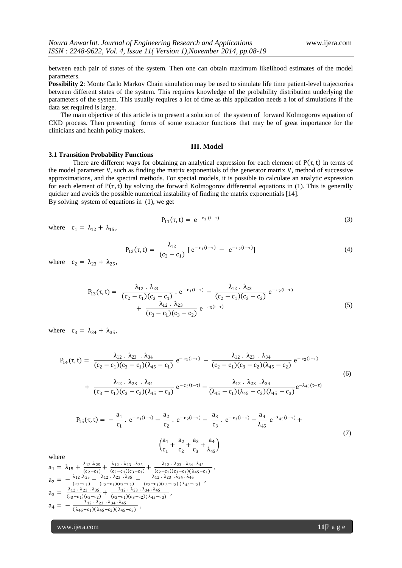between each pair of states of the system. Then one can obtain maximum likelihood estimates of the model parameters.

**Possibility 2**: Monte Carlo Markov Chain simulation may be used to simulate life time patient-level trajectories between different states of the system. This requires knowledge of the probability distribution underlying the parameters of the system. This usually requires a lot of time as this application needs a lot of simulations if the data set required is large.

The main objective of this article is to present a solution of the system of forward Kolmogorov equation of CKD process. Then presenting forms of some extractor functions that may be of great importance for the clinicians and health policy makers.

## **III. Model**

#### **3.1 Transition Probability Functions**

There are different ways for obtaining an analytical expression for each element of  $P(\tau, t)$  in terms of the model parameter V, such as finding the matrix exponentials of the generator matrix V, method of successive approximations, and the spectral methods. For special models, it is possible to calculate an analytic expression for each element of  $P(\tau, t)$  by solving the forward Kolmogorov differential equations in (1). This is generally quicker and avoids the possible numerical instability of finding the matrix exponentials [14]. By solving system of equations in (1), we get

$$
P_{11}(\tau, t) = e^{-c_1 (t-\tau)}
$$
\n(3)

where  $c_1 = \lambda_{12} + \lambda_{15}$ ,

$$
P_{12}(\tau, t) = \frac{\lambda_{12}}{(c_2 - c_1)} [e^{-c_1(t-\tau)} - e^{-c_2(t-\tau)}]
$$
\n(4)

where  $c_2 = \lambda_{23} + \lambda_{25}$ ,

$$
P_{13}(\tau, t) = \frac{\lambda_{12} \cdot \lambda_{23}}{(c_2 - c_1)(c_3 - c_1)} \cdot e^{-c_1(t-\tau)} - \frac{\lambda_{12} \cdot \lambda_{23}}{(c_2 - c_1)(c_3 - c_2)} e^{-c_2(t-\tau)} + \frac{\lambda_{12} \cdot \lambda_{23}}{(c_3 - c_1)(c_3 - c_2)} e^{-c_3(t-\tau)}
$$
\n(5)

where  $c_3 = \lambda_{34} + \lambda_{35}$ ,

$$
P_{14}(\tau, t) = \frac{\lambda_{12} \cdot \lambda_{23} \cdot \lambda_{34}}{(c_2 - c_1)(c_3 - c_1)(\lambda_{45} - c_1)} e^{-c_1(t-\tau)} - \frac{\lambda_{12} \cdot \lambda_{23} \cdot \lambda_{34}}{(c_2 - c_1)(c_3 - c_2)(\lambda_{45} - c_2)} e^{-c_2(t-\tau)} + \frac{\lambda_{12} \cdot \lambda_{23} \cdot \lambda_{34}}{(c_3 - c_1)(c_3 - c_2)(\lambda_{45} - c_3)} e^{-c_3(t-\tau)} - \frac{\lambda_{12} \cdot \lambda_{23} \cdot \lambda_{34}}{(\lambda_{45} - c_1)(\lambda_{45} - c_2)(\lambda_{45} - c_3)} e^{-\lambda_{45}(t-\tau)}
$$
(6)

$$
P_{15}(\tau, t) = -\frac{a_1}{c_1} \cdot e^{-c_1(t-\tau)} - \frac{a_2}{c_2} \cdot e^{-c_2(t-\tau)} - \frac{a_3}{c_3} \cdot e^{-c_3(t-\tau)} - \frac{a_4}{\lambda_{45}} e^{-\lambda_{45}(t-\tau)} + \left(\frac{a_1}{c_1} + \frac{a_2}{c_2} + \frac{a_3}{c_3} + \frac{a_4}{\lambda_{45}}\right)
$$
\n
$$
(7)
$$

,

where

$$
a_1 = \lambda_{15} + \frac{\lambda_{12} \lambda_{25}}{(c_2 - c_1)} + \frac{\lambda_{12} \cdot \lambda_{23} \cdot \lambda_{35}}{(c_2 - c_1)(c_3 - c_1)} + \frac{\lambda_{12} \cdot \lambda_{23} \cdot \lambda_{34} \cdot \lambda_{45}}{(c_2 - c_1)(c_3 - c_1)(\lambda_{45} - c_1)}
$$
  
\n
$$
a_2 = -\frac{\lambda_{12} \lambda_{25}}{(c_2 - c_1)} - \frac{\lambda_{12} \cdot \lambda_{23} \cdot \lambda_{35}}{(c_2 - c_1)(c_3 - c_2)} - \frac{\lambda_{12} \cdot \lambda_{23} \cdot \lambda_{34} \cdot \lambda_{45}}{(c_2 - c_1)(c_3 - c_2)(\lambda_{45} - c_2)},
$$
  
\n
$$
a_3 = \frac{\lambda_{12} \cdot \lambda_{23} \cdot \lambda_{35}}{(c_3 - c_1)(c_3 - c_2)} + \frac{\lambda_{12} \cdot \lambda_{23} \cdot \lambda_{34} \cdot \lambda_{45}}{(c_3 - c_1)(c_3 - c_2)(\lambda_{45} - c_3)},
$$
  
\n
$$
a_4 = -\frac{\lambda_{12} \cdot \lambda_{23} \cdot \lambda_{34} \cdot \lambda_{45}}{(\lambda_{45} - c_1)(\lambda_{45} - c_2)(\lambda_{45} - c_3)},
$$

www.ijera.com **11**|P a g e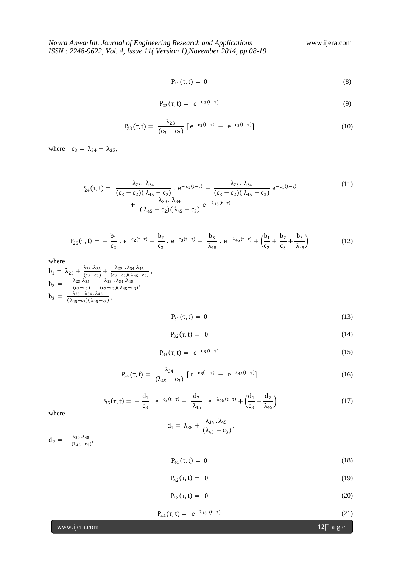$$
P_{21}(\tau, t) = 0 \tag{8}
$$

$$
P_{22}(\tau, t) = e^{-c_2 (t-\tau)}
$$
\n(9)

$$
P_{23}(\tau, t) = \frac{\lambda_{23}}{(c_3 - c_2)} [e^{-c_2(t-\tau)} - e^{-c_3(t-\tau)}]
$$
\n(10)

where  $c_3 = \lambda_{34} + \lambda_{35}$ ,

$$
P_{24}(\tau, t) = \frac{\lambda_{23} \cdot \lambda_{34}}{(c_3 - c_2)(\lambda_{45} - c_2)} \cdot e^{-c_2(t-\tau)} - \frac{\lambda_{23} \cdot \lambda_{34}}{(c_3 - c_2)(\lambda_{45} - c_3)} e^{-c_3(t-\tau)} + \frac{\lambda_{23} \cdot \lambda_{34}}{(\lambda_{45} - c_2)(\lambda_{45} - c_3)} e^{-\lambda_{45}(t-\tau)}
$$
(11)

$$
P_{25}(\tau, t) = -\frac{b_1}{c_2} \cdot e^{-c_2(t-\tau)} - \frac{b_2}{c_3} \cdot e^{-c_3(t-\tau)} - \frac{b_3}{\lambda_{45}} \cdot e^{-\lambda_{45}(t-\tau)} + \left(\frac{b_1}{c_2} + \frac{b_2}{c_3} + \frac{b_3}{\lambda_{45}}\right)
$$
(12)

where

$$
b_1 = \lambda_{25} + \frac{\lambda_{23} \lambda_{35}}{(c_3 - c_2)} + \frac{\lambda_{23} \lambda_{34} \lambda_{45}}{(c_3 - c_2)(\lambda_{45} - c_2)},
$$
  
\n
$$
b_2 = -\frac{\lambda_{23} \lambda_{35}}{(c_3 - c_2)} - \frac{\lambda_{23} \lambda_{34} \lambda_{45}}{(c_3 - c_2)(\lambda_{45} - c_3)},
$$
  
\n
$$
b_3 = \frac{\lambda_{23} \lambda_{34} \lambda_{45}}{(\lambda_{45} - c_2)(\lambda_{45} - c_3)},
$$

$$
P_{31}(\tau, t) = 0 \tag{13}
$$

$$
P_{32}(\tau,t) = 0 \tag{14}
$$

$$
P_{33}(\tau, t) = e^{-c_3 (t - \tau)}
$$
\n(15)

$$
P_{34}(\tau, t) = \frac{\lambda_{34}}{(\lambda_{45} - c_3)} [e^{-c_3(t-\tau)} - e^{-\lambda_{45}(t-\tau)}]
$$
(16)

$$
P_{35}(\tau, t) = -\frac{d_1}{c_3} \cdot e^{-c_3(t-\tau)} - \frac{d_2}{\lambda_{45}} \cdot e^{-\lambda_{45}(t-\tau)} + \left(\frac{d_1}{c_3} + \frac{d_2}{\lambda_{45}}\right)
$$
(17)

where

$$
d_1 = \lambda_{35} + \frac{\lambda_{34} \cdot \lambda_{45}}{(\lambda_{45} - c_3)},
$$

 $d_2 = -\frac{\lambda_{34} \lambda_{45}}{(\lambda_{45}-\epsilon_2)}$  $\frac{\lambda_{34} \lambda_{45}}{(\lambda_{45}-c_3)}$ 

$$
P_{41}(\tau, t) = 0 \tag{18}
$$

$$
P_{42}(\tau, t) = 0 \tag{19}
$$

$$
P_{43}(\tau, t) = 0 \tag{20}
$$

$$
P_{44}(\tau, t) = e^{-\lambda_{45} (t-\tau)}
$$
\n(21)

www.ijera.com **12**|P a g e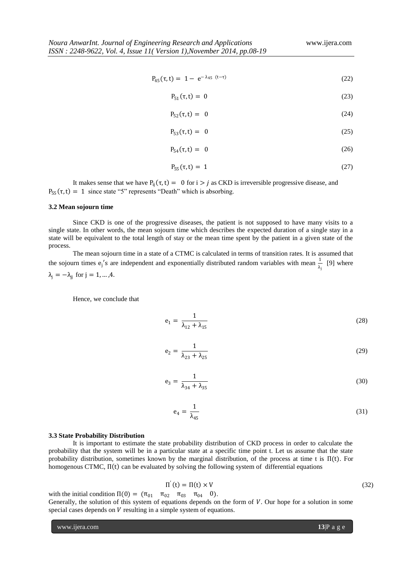$$
P_{45}(\tau, t) = 1 - e^{-\lambda_{45} (t - \tau)}
$$
\n(22)

$$
P_{51}(\tau, t) = 0 \tag{23}
$$

$$
P_{52}(\tau, t) = 0 \tag{24}
$$

$$
P_{53}(\tau, t) = 0 \tag{25}
$$

$$
P_{54}(\tau, t) = 0 \tag{26}
$$

$$
P_{55}(\tau, t) = 1 \tag{27}
$$

It makes sense that we have P<sub>ij</sub> $(\tau, t) = 0$  for  $i > j$  as CKD is irreversible progressive disease, and  $P_{55}(\tau, t) = 1$  since state "5" represents "Death" which is absorbing.

## **3.2 Mean sojourn time**

Since CKD is one of the progressive diseases, the patient is not supposed to have many visits to a single state. In other words, the mean sojourn time which describes the expected duration of a single stay in a state will be equivalent to the total length of stay or the mean time spent by the patient in a given state of the process.

The mean sojourn time in a state of a CTMC is calculated in terms of transition rates. It is assumed that the sojourn times  $e_j$ 's are independent and exponentially distributed random variables with mean  $\frac{1}{\lambda_j}$  [9] where  $\lambda_j = -\lambda_{jj}$  for  $j = 1, ..., 4$ .

$$
f_{\rm{max}}
$$

Hence, we conclude that

$$
e_1 = \frac{1}{\lambda_{12} + \lambda_{15}}\tag{28}
$$

$$
e_2 = \frac{1}{\lambda_{23} + \lambda_{25}}\tag{29}
$$

$$
e_3 = \frac{1}{\lambda_{34} + \lambda_{35}}\tag{30}
$$

$$
e_4 = \frac{1}{\lambda_{45}}\tag{31}
$$

#### **3.3 State Probability Distribution**

It is important to estimate the state probability distribution of CKD process in order to calculate the probability that the system will be in a particular state at a specific time point t. Let us assume that the state probability distribution, sometimes known by the marginal distribution, of the process at time t is  $\Pi(t)$ . For homogenous CTMC,  $\Pi(t)$  can be evaluated by solving the following system of differential equations

$$
\Pi'(\mathbf{t}) = \Pi(\mathbf{t}) \times V \tag{32}
$$

with the initial condition  $\Pi(0) = (\pi_{01} \quad \pi_{02} \quad \pi_{03} \quad \pi_{04} \quad 0).$ 

Generally, the solution of this system of equations depends on the form of  $V$ . Our hope for a solution in some special cases depends on  $V$  resulting in a simple system of equations.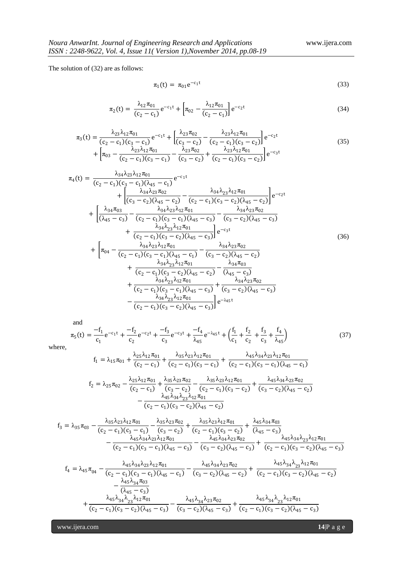The solution of (32) are as follows:

$$
\pi_1(t) = \pi_{01} e^{-c_1 t} \tag{33}
$$

$$
\pi_2(t) = \frac{\lambda_{12}\pi_{01}}{(c_2 - c_1)} e^{-c_1 t} + \left[\pi_{02} - \frac{\lambda_{12}\pi_{01}}{(c_2 - c_1)}\right] e^{-c_2 t}
$$
\n(34)

$$
\pi_3(t) = \frac{\lambda_{23}\lambda_{12}\pi_{01}}{(c_2 - c_1)(c_3 - c_1)}e^{-c_1t} + \left[\frac{\lambda_{23}\pi_{02}}{(c_3 - c_2)} - \frac{\lambda_{23}\lambda_{12}\pi_{01}}{(c_2 - c_1)(c_3 - c_2)}\right]e^{-c_2t} + \left[\pi_{03} - \frac{\lambda_{23}\lambda_{12}\pi_{01}}{(c_2 - c_1)(c_3 - c_1)} - \frac{\lambda_{23}\pi_{02}}{(c_3 - c_2)} + \frac{\lambda_{23}\lambda_{12}\pi_{01}}{(c_2 - c_1)(c_3 - c_2)}\right]e^{-c_3t}
$$
\n(35)

$$
\pi_{4}(t) = \frac{\lambda_{34}\lambda_{23}\lambda_{12}\pi_{01}}{(c_{2}-c_{1})(c_{3}-c_{1})(\lambda_{45}-c_{1})}e^{-c_{1}t} + \frac{\lambda_{34}\lambda_{23}\lambda_{12}\pi_{02}}{(c_{3}-c_{2})(\lambda_{45}-c_{2})} - \frac{\lambda_{34}\lambda_{23}\lambda_{12}\pi_{01}}{(c_{2}-c_{1})(c_{3}-c_{2})(\lambda_{45}-c_{2})}\Big]e^{-c_{2}t} + \frac{\lambda_{34}\pi_{03}}{(\lambda_{45}-c_{3})} - \frac{\lambda_{34}\lambda_{23}\lambda_{12}\pi_{01}}{(c_{2}-c_{1})(c_{3}-c_{1})(\lambda_{45}-c_{3})} - \frac{\lambda_{34}\lambda_{23}\pi_{02}}{(c_{3}-c_{2})(\lambda_{45}-c_{3})} + \frac{\lambda_{34}\lambda_{23}\lambda_{12}\pi_{01}}{(c_{2}-c_{1})(c_{3}-c_{2})(\lambda_{45}-c_{3})}\Big]e^{-c_{3}t} \qquad (36)
$$
  
+ 
$$
\left[\pi_{04} - \frac{\lambda_{34}\lambda_{23}\lambda_{12}\pi_{01}}{(c_{2}-c_{1})(c_{3}-c_{1})(\lambda_{45}-c_{1})} - \frac{\lambda_{34}\lambda_{23}\pi_{02}}{(c_{3}-c_{2})(\lambda_{45}-c_{2})} + \frac{\lambda_{34}\lambda_{23}\lambda_{12}\pi_{01}}{(c_{2}-c_{1})(c_{3}-c_{1})(\lambda_{45}-c_{1})} - \frac{\lambda_{34}\lambda_{23}\pi_{02}}{(c_{3}-c_{2})(\lambda_{45}-c_{2})} + \frac{\lambda_{34}\lambda_{23}\lambda_{12}\pi_{01}}{(c_{2}-c_{1})(c_{3}-c_{2})(\lambda_{45}-c_{2})} - \frac{\lambda_{34}\pi_{03}}{(\lambda_{45}-c_{3})} + \frac{\lambda_{34}\lambda_{23}\lambda_{12}\pi_{01}}{(c_{2}-c_{1})(c_{3}-c_{1})(\lambda_{45}-c_{3})} + \frac{\lambda_{34}\lambda_{23}\pi_{02}}{(c_{3}-c_{2})(\lambda_{45}-c_{3})} - \frac{\lambda_{34}\lambda_{23}\lambda_{12}\pi_{01}}{(c_{2}-c_{1})(
$$

and

$$
\pi_5(t) = \frac{-f_1}{c_1} e^{-c_1 t} + \frac{-f_2}{c_2} e^{-c_2 t} + \frac{-f_3}{c_3} e^{-c_3 t} + \frac{-f_4}{\lambda_{45}} e^{-\lambda_{45} t} + \left(\frac{f_1}{c_1} + \frac{f_2}{c_2} + \frac{f_3}{c_3} + \frac{f_4}{\lambda_{45}}\right)
$$
(37)

where,

$$
f_1 = \lambda_{15}\pi_{01} + \frac{\lambda_{25}\lambda_{12}\pi_{01}}{(c_2 - c_1)} + \frac{\lambda_{35}\lambda_{23}\lambda_{12}\pi_{01}}{(c_2 - c_1)(c_3 - c_1)} + \frac{\lambda_{45}\lambda_{34}\lambda_{23}\lambda_{12}\pi_{01}}{(c_2 - c_1)(c_3 - c_1)(\lambda_{45} - c_1)}
$$
  

$$
f_2 = \lambda_{25}\pi_{02} - \frac{\lambda_{25}\lambda_{12}\pi_{01}}{(c_3 - c_1)} + \frac{\lambda_{35}\lambda_{23}\pi_{02}}{(c_3 - c_2)} - \frac{\lambda_{35}\lambda_{23}\lambda_{12}\pi_{01}}{(c_3 - c_1)(c_3 - c_2)} + \frac{\lambda_{45}\lambda_{34}\lambda_{23}\pi_{02}}{(c_3 - c_2)(\lambda_{45} - c_2)}
$$

$$
(c_2 - c_1) \t\t (c_3 - c_2) \t\t (c_2 - c_1) \t\t (c_3 - c_2) \t\t (c_3 - c_2) \t\t (c_3 - c_2) (\lambda_{45} - c_2) - \frac{\lambda_{45}\lambda_{34}\lambda_{23}\lambda_{12}\pi_{01}}{(c_2 - c_1)(c_3 - c_2)(\lambda_{45} - c_2)}
$$

$$
f_3 = \lambda_{35}\pi_{03} - \frac{\lambda_{35}\lambda_{23}\lambda_{12}\pi_{01}}{(c_2 - c_1)(c_3 - c_1)} - \frac{\lambda_{35}\lambda_{23}\pi_{02}}{(c_3 - c_2)} + \frac{\lambda_{35}\lambda_{23}\lambda_{12}\pi_{01}}{(c_2 - c_1)(c_3 - c_2)} + \frac{\lambda_{45}\lambda_{34}\pi_{03}}{(\lambda_{45} - c_3)} - \frac{\lambda_{45}\lambda_{34}\lambda_{23}\lambda_{12}\pi_{01}}{(c_2 - c_1)(c_3 - c_1)(\lambda_{45} - c_3)} - \frac{\lambda_{45}\lambda_{34}\lambda_{23}\pi_{02}}{(c_3 - c_2)(\lambda_{45} - c_3)} + \frac{\lambda_{45}\lambda_{34}\lambda_{23}\lambda_{12}\pi_{01}}{(c_2 - c_1)(c_3 - c_2)(\lambda_{45} - c_3)}
$$

$$
f_4 = \lambda_{45}\pi_{04} - \frac{\lambda_{45}\lambda_{34}\lambda_{23}\lambda_{12}\pi_{01}}{(c_2 - c_1)(c_3 - c_1)(\lambda_{45} - c_1)} - \frac{\lambda_{45}\lambda_{34}\lambda_{23}\pi_{02}}{(c_3 - c_2)(\lambda_{45} - c_2)} + \frac{\lambda_{45}\lambda_{34}\lambda_{23}\lambda_{12}\pi_{01}}{(c_2 - c_1)(c_3 - c_2)(\lambda_{45} - c_2)} - \frac{\lambda_{45}\lambda_{34}\pi_{03}}{(\lambda_{45} - c_3)} + \frac{\lambda_{45}\lambda_{34}\lambda_{23}\lambda_{12}\pi_{01}}{(c_2 - c_1)(c_3 - c_2)(\lambda_{45} - c_3)} - \frac{\lambda_{45}\lambda_{34}\lambda_{23}\pi_{02}}{(c_3 - c_2)(\lambda_{45} - c_3)} + \frac{\lambda_{45}\lambda_{34}\lambda_{23}\lambda_{12}\pi_{01}}{(c_2 - c_1)(c_3 - c_2)(\lambda_{45} - c_3)}
$$

www.ijera.com **14**|P a g e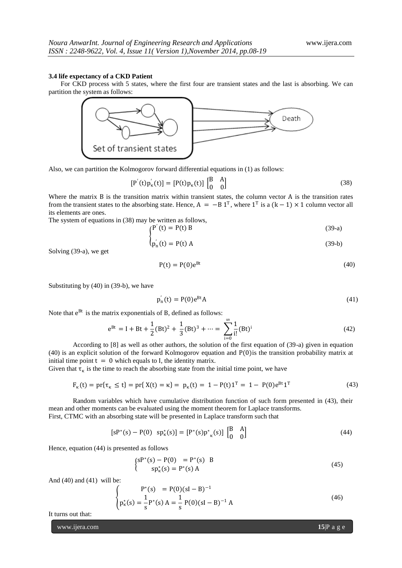#### **3.4 life expectancy of a CKD Patient**

For CKD process with 5 states, where the first four are transient states and the last is absorbing. We can partition the system as follows:



Also, we can partition the Kolmogorov forward differential equations in (1) as follows:

$$
[P'(t)p'_{k}(t)] = [P(t)p_{k}(t)] \begin{bmatrix} B & A \\ 0 & 0 \end{bmatrix}
$$
 (38)

Where the matrix B is the transition matrix within transient states, the column vector A is the transition rates from the transient states to the absorbing state. Hence,  $A = -B 1^T$ , where  $1^T$  is a  $(k-1) \times 1$  column vector all its elements are ones.

The system of equations in (38) may be written as follows,

$$
\begin{cases} P'(t) = P(t) B \end{cases} \tag{39-a}
$$

$$
p'_n(t) = P(t) A \tag{39-b}
$$

Solving (39-a), we get

$$
P(t) = P(0)e^{Bt} \tag{40}
$$

Substituting by (40) in (39-b), we have

$$
p'_n(t) = P(0)e^{Bt}A
$$
\n(41)

Note that  $e^{Bt}$  is the matrix exponentials of B, defined as follows:

$$
e^{Bt} = I + Bt + \frac{1}{2}(Bt)^2 + \frac{1}{3}(Bt)^3 + \dots = \sum_{i=0}^{\infty} \frac{1}{i!} (Bt)^i
$$
 (42)

According to [8] as well as other authors, the solution of the first equation of (39-a) given in equation  $(40)$  is an explicit solution of the forward Kolmogorov equation and P $(0)$  is the transition probability matrix at initial time point  $t = 0$  which equals to I, the identity matrix.

Given that  $\tau_{\kappa}$  is the time to reach the absorbing state from the initial time point, we have

$$
F_{\kappa}(t) = pr\{\tau_{\kappa} \le t\} = pr\{X(t) = \kappa\} = p_{\kappa}(t) = 1 - P(t)1^{T} = 1 - P(0)e^{Bt}1^{T}
$$
\n(43)

Random variables which have cumulative distribution function of such form presented in (43), their mean and other moments can be evaluated using the moment theorem for Laplace transforms. First, CTMC with an absorbing state will be presented in Laplace transform such that

$$
[sP^*(s) - P(0) \text{ sp}_\kappa^*(s)] = [P^*(s)p_{\kappa}^*(s)] \begin{bmatrix} B & A \\ 0 & 0 \end{bmatrix}
$$
 (44)

Hence, equation (44) is presented as follows

₹

$$
\begin{cases}\n\mathbf{S}P^*(\mathbf{S}) - P(0) &= P^*(\mathbf{S}) \quad \mathbf{B} \\
\mathbf{S}P^*_{\kappa}(\mathbf{S}) &= P^*(\mathbf{S}) \quad \mathbf{A}\n\end{cases}\n\tag{45}
$$

And (40) and (41) will be:

$$
P^*(s) = P(0)(sI - B)^{-1}
$$
  
\n
$$
p^*_{\kappa}(s) = \frac{1}{s} P^*(s) A = \frac{1}{s} P(0)(sI - B)^{-1} A
$$
\n(46)

It turns out that:

www.ijera.com **15**|P a g e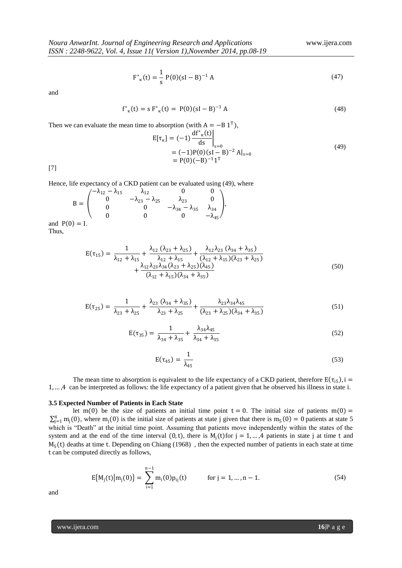$$
F^*_{\kappa}(t) = \frac{1}{s} P(0)(sI - B)^{-1} A
$$
 (47)

and

$$
f^*_{\kappa}(t) = s F^*_{\kappa}(t) = P(0)(sI - B)^{-1} A
$$
\n(48)

Then we can evaluate the mean time to absorption (with  $A = -B 1^T$ ),

$$
E[\tau_{\kappa}] = (-1) \frac{df^*_{\kappa}(t)}{ds} \Big|_{s=0}
$$
  
= (-1)P(0)(sI – B)<sup>-2</sup> Al<sub>s=0</sub>  
= P(0)(-B)<sup>-1</sup>1<sup>T</sup> (49)

[7]

Hence, life expectancy of a CKD patient can be evaluated using (49), where

$$
B = \begin{pmatrix} -\lambda_{12} - \lambda_{15} & \lambda_{12} & 0 & 0 \\ 0 & -\lambda_{23} - \lambda_{25} & \lambda_{23} & 0 \\ 0 & 0 & -\lambda_{34} - \lambda_{35} & \lambda_{34} \\ 0 & 0 & 0 & -\lambda_{45} \end{pmatrix},
$$
  
P(0) = I.

and Thus,

$$
E(\tau_{15}) = \frac{1}{\lambda_{12} + \lambda_{15}} + \frac{\lambda_{12} (\lambda_{23} + \lambda_{25})}{\lambda_{12} + \lambda_{15}} + \frac{\lambda_{12} \lambda_{23} (\lambda_{34} + \lambda_{35})}{(\lambda_{12} + \lambda_{15}) (\lambda_{23} + \lambda_{25})} + \frac{\lambda_{12} \lambda_{23} \lambda_{34} (\lambda_{23} + \lambda_{25}) (\lambda_{45})}{(\lambda_{12} + \lambda_{15}) (\lambda_{34} + \lambda_{35})}
$$
(50)

$$
E(\tau_{25}) = \frac{1}{\lambda_{23} + \lambda_{25}} + \frac{\lambda_{23} (\lambda_{34} + \lambda_{35})}{\lambda_{23} + \lambda_{25}} + \frac{\lambda_{23} \lambda_{34} \lambda_{45}}{(\lambda_{23} + \lambda_{25})(\lambda_{34} + \lambda_{35})}
$$
(51)

$$
E(\tau_{35}) = \frac{1}{\lambda_{34} + \lambda_{35}} + \frac{\lambda_{34}\lambda_{45}}{\lambda_{34} + \lambda_{35}}
$$
(52)

$$
E(\tau_{45}) = \frac{1}{\lambda_{45}}\tag{53}
$$

The mean time to absorption is equivalent to the life expectancy of a CKD patient, therefore  $E(\tau_{i5})$ , i = 1, … ,4 can be interpreted as follows: the life expectancy of a patient given that he observed his illness in state i.

## **3.5 Expected Number of Patients in Each State**

let m(0) be the size of patients an initial time point  $t = 0$ . The initial size of patients m(0) =  $\sum_{j=1}^{4} m_j(0)$ , where  $m_j(0)$  is the initial size of patients at state j given that there is  $m_5(0) = 0$  patients at state 5 which is "Death" at the initial time point. Assuming that patients move independently within the states of the system and at the end of the time interval  $(0, t)$ , there is  $M_j(t)$  for  $j = 1, ..., 4$  patients in state j at time t and  $M_5(t)$  deaths at time t. Depending on Chiang (1968), then the expected number of patients in each state at time t can be computed directly as follows,

$$
E{Mj(t) |mj(0)} = \sum_{i=1}^{n-1} mi(0)pij(t) \qquad \text{for } j = 1, ..., n-1.
$$
 (54)

and

www.ijera.com **16**|P a g e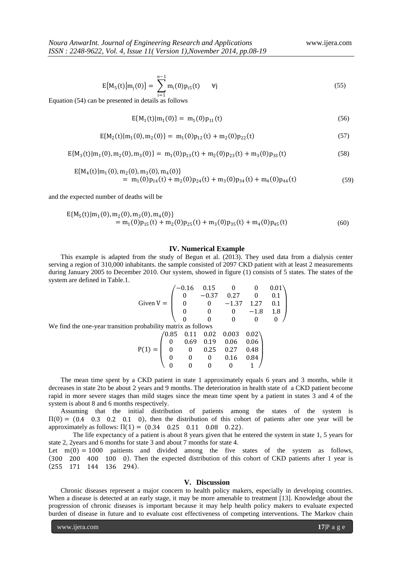$$
E{M5(t) |mj(0)} = \sum_{i=1}^{n-1} mi(0)pi5(t) \t\t \forall j
$$
\n(55)

Equation (54) can be presented in details as follows

$$
E{M1(t)|m1(0)} = m1(0)p11(t)
$$
\n(56)

$$
E{M2(t|m1(0), m2(0)} = m1(0)p12(t) + m2(0)p22(t)
$$
\n(57)

$$
E{M_3(t|m_1(0),m_2(0),m_3(0)} = m_1(0)p_{13}(t) + m_2(0)p_{23}(t) + m_3(0)p_{33}(t)
$$
\n(58)

$$
E{M_4(t|m_1(0), m_2(0), m_3(0), m_4(0)}= m_1(0)p_{14}(t) + m_2(0)p_{24}(t) + m_3(0)p_{34}(t) + m_4(0)p_{44}(t)
$$
(59)

and the expected number of deaths will be

$$
E{M5(t)|m1(0), m2(0), m3(0), m4(0)}= m1(0)p15(t) + m2(0)p25(t) + m3(0)p35(t) + m4(0)p45(t)
$$
\n(60)

#### **IV. Numerical Example**

This example is adapted from the study of Begun et al. (2013). They used data from a dialysis center serving a region of 310,000 inhabitants. the sample consisted of 2097 CKD patient with at least 2 measurements during January 2005 to December 2010. Our system, showed in figure (1) consists of 5 states. The states of the system are defined in Table.1.

Given 
$$
V = \begin{pmatrix} -0.16 & 0.15 & 0 & 0 & 0.01 \\ 0 & -0.37 & 0.27 & 0 & 0.1 \\ 0 & 0 & -1.37 & 1.27 & 0.1 \\ 0 & 0 & 0 & -1.8 & 1.8 \\ 0 & 0 & 0 & 0 & 0 \end{pmatrix}
$$
  
probability matrix as follows

We find the one-year transition probability

$$
P(1) = \begin{pmatrix} 0.85 & 0.11 & 0.02 & 0.003 & 0.02 \\ 0 & 0.69 & 0.19 & 0.06 & 0.06 \\ 0 & 0 & 0.25 & 0.27 & 0.48 \\ 0 & 0 & 0 & 0.16 & 0.84 \\ 0 & 0 & 0 & 0 & 1 \end{pmatrix}
$$

The mean time spent by a CKD patient in state 1 approximately equals 6 years and 3 months, while it decreases in state 2to be about 2 years and 9 months. The deterioration in health state of a CKD patient become rapid in more severe stages than mild stages since the mean time spent by a patient in states 3 and 4 of the system is about 8 and 6 months respectively.

Assuming that the initial distribution of patients among the states of the system is  $\Pi(0) = (0.4 \quad 0.3 \quad 0.2 \quad 0.1 \quad 0)$ , then the distribution of this cohort of patients after one year will be approximately as follows:  $\Pi(1) = (0.34 \ 0.25 \ 0.11 \ 0.08 \ 0.22)$ .

The life expectancy of a patient is about 8 years given that he entered the system in state 1, 5 years for state 2, 2years and 6 months for state 3 and about 7 months for state 4.

Let  $m(0) = 1000$  paitients and divided among the five states of the system as follows, (300 200 400 100 0). Then the expected distribution of this cohort of CKD patients after 1 year is  $(255 \quad 171 \quad 144 \quad 136 \quad 294).$ 

#### **V. Discussion**

Chronic diseases represent a major concern to health policy makers, especially in developing countries. When a disease is detected at an early stage, it may be more amenable to treatment [13]. Knowledge about the progression of chronic diseases is important because it may help health policy makers to evaluate expected burden of disease in future and to evaluate cost effectiveness of competing interventions. The Markov chain

www.ijera.com **17**|P a g e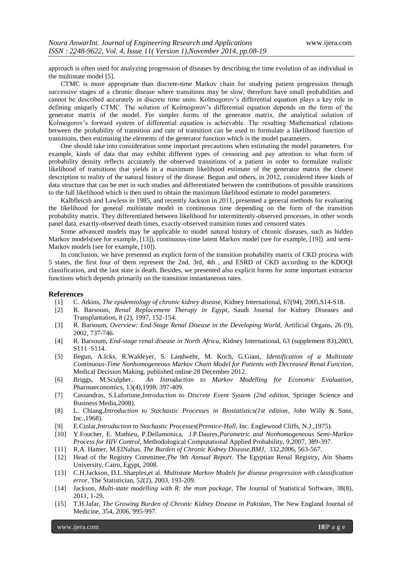approach is often used for analyzing progression of diseases by describing the time evolution of an individual in the multistate model [5].

CTMC is more appropriate than discrete-time Markov chain for studying patient progression through successive stages of a chronic disease where transitions may be slow, therefore have small probabilities and cannot be described accurately in discrete time units. Kolmogorov's differential equation plays a key role in defining uniquely CTMC. The solution of Kolmogorov's differential equation depends on the form of the generator matrix of the model. For simpler forms of the generator matrix, the analytical solution of Kolmogorov's forward system of differential equation is achievable. The resulting Mathematical relations between the probability of transition and rate of transition can be used to formulate a likelihood function of transitions, then estimating the elements of the generator function which is the model parameters.

One should take into consideration some important precautions when estimating the model parameters. For example, kinds of data that may exhibit different types of censoring and pay attention to what form of probability density reflects accurately the observed transitions of a patient in order to formulate realistic likelihood of transitions that yields in a maximum likelihood estimate of the generator matrix the closest description to reality of the natural history of the disease. Begun and others, in 2012, considered three kinds of data structure that can be met in such studies and differentiated between the contributions of possible transitions to the full likelihood which is then used to obtain the maximum likelihood estimate to model parameters.

Kalbfleicsh and Lawless in 1985, and recently Jackson in 2011, presented a general methods for evaluating the likelihood for general multistate model in continuous time depending on the form of the transition probability matrix. They differentiated between likelihood for intermittently-observed processes, in other words panel data, exactly-observed death times, exactly-observed transition times and censored states.

Some advanced models may be applicable to model natural history of chronic diseases, such as hidden Markov models(see for example, [13]), continuous-time latent Markov model (see for example, [19]) and semi-Markov models (see for example, [10]).

In conclusion, we have presented an explicit form of the transition probability matrix of CKD process with 5 states, the first four of them represent the 2nd, 3rd, 4th , and ESRD of CKD according to the KDOQI classification, and the last state is death. Besides, we presented also explicit forms for some important extractor functions which depends primarily on the transition instantaneous rates.

## **References**

- [1] C. Atkins, *The epidemiology of chronic kidney diseas*e, Kidney International, 67(94), 2005,S14-S18.
- [2] R. Barsoum, *Renal Replacement Therapy in Egypt*, Saudi Journal for Kidney Diseases and Transplantation, 8 (2), 1997, 152-154.
- [3] R. Barsoum, *Overview: End-Stage Renal Disease in the Developing World,* Artificial Organs, 26 (9), 2002, 737-746.
- [4] R. Barsoum, *End-stage renal disease in North Africa*, Kidney International, 63 (supplement 83),2003, S111–S114.
- [5] Begun, A.Icks, R.Waldeyer, S. Landwehr, M. Koch, G.Giani, *Identification of a Multistate Continuous-Time Nonhomogeneous Markov Chain Model for Patients with Decreased Renal Function*, Medical Decision Making, published online 28 December 2012.
- [6] Briggs, M.Sculpher, *An Introduction to Markov Modelling for Economic Evaluation*, Pharmaeconomics, 13(4),1998, 397-409.
- [7] Cassandras, S.Lafortune,*Introduction to Discrete Event System (2nd edition*, Springer Science and Business Media,2008).
- [8] L. Chiang,*Introduction to Stochastic Processes in Biostatistics(1st edition*, John Willy & Sons, Inc.,1968).
- [9] E.Cinlar,*Introduction to Stochastic Processes(Prentice-Hall*, Inc. Englewood Cliffs, N.J.,1975).
- [10] Y.Foucher, E. Mathieu, P.Dellamonica, J.P.Daures,*Parametric and Nonhomogeneous Semi-Markov Process for HIV Control*, Methodological Computational Applied Probability, 9,2007, 389-397.
- [11] R.A. Hamer, M.ElNahas, *The Burden of Chronic Kidney Disease,BMJ*, 332,2006, 563-567.
- [12] Head of the Registry Committee,*The 9th Annual Report*. The Egyptian Renal Registry, Ain Shams University, Cairo, Egypt, 2008.
- [13] C.H.Jackson, D.L.Sharples,et al. *Multistate Markov Models for disease progression with classification error,* The Statistician, 52(2), 2003, 193-209.
- [14] Jackson, *Multi-state modelling with R: the msm package,* The Journal of Statistical Software, 38(8), 2011, 1-29.
- [15] T.H.Jafar, *The Growing Burden of Chronic Kidney Disease in Pakistan*, The New England Journal of Medicine, 354, 2006, 995-997.

www.ijera.com **18**|P a g e